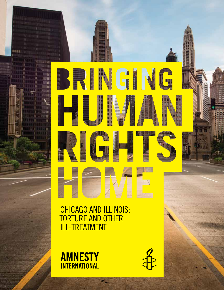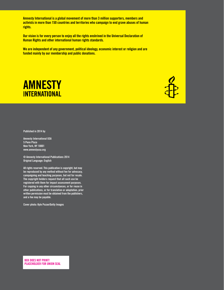**Amnesty International is a global movement of more than 3 million supporters, members and activists in more than 150 countries and territories who campaign to end grave abuses of human rights.** 

**Our vision is for every person to enjoy all the rights enshrined in the Universal Declaration of Human Rights and other international human rights standards.** 

**We are independent of any government, political ideology, economic interest or religion and are funded mainly by our membership and public donations.**





**Published in 2014 by**

**Amnesty International USA 5 Penn Plaza New York, NY 10001 www.amnestyusa.org**

**© Amnesty International Publications 2014 Original Language: English**

**All rights reserved. This publication is copyright, but may be reproduced by any method without fee for advocacy, campaigning and teaching purposes, but not for resale. The copyright holders request that all such use be registered with them for impact assessment purposes. For copying in any other circumstances, or for reuse in other publications, or for translation or adaptation, prior written permission must be obtained from the publishers, and a fee may be payable.**

**Cover photo: Kyle Pozan/Getty Images**

**BOX DOES NOT PRINT! Placeholder for union seal**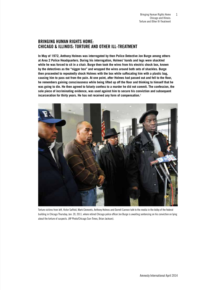## **Bringing Human Rights Home: Chicago & Illinois: Torture and other ill-treatment**

**In May of 1972, Anthony Holmes was interrogated by then Police Detective Jon Burge among others at Area 2 Police Headquarters. During his interrogation, Holmes' hands and legs were shackled while he was forced to sit in a chair. Burge then took the wires from his electric shock box, known by the detectives as the "nigger box" and wrapped the wires around both sets of shackles. Burge then proceeded to repeatedly shock Holmes with the box while suffocating him with a plastic bag, causing him to pass out from the pain. At one point, after Holmes had passed out and fell to the floor, he remembers gaining consciousness while being lifted up off the floor and thinking to himself that he was going to die. He then agreed to falsely confess to a murder he did not commit. The confession, the sole piece of incriminating evidence, was used against him to secure his conviction and subsequent incarceration for thirty years. He has not received any form of compensation.1**



Torture victims from left, Victor Saffold, Mark Clements, Anthony Holmes and Darrell Cannon talk to the media in the lobby of the federal building in Chicago Thursday, Jan. 20, 2011, where retired Chicago police officer Jon Burge is awaiting sentencing on his conviction on lying about the torture of suspects. (AP Photo/Chicago Sun-Times, Brian Jackson).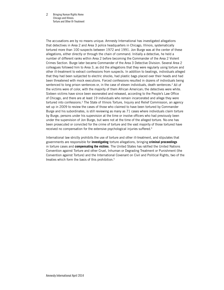Bringing Human Rights Home Chicago and Illinois: Torture and Other Ill-Treatment 2

The accusations are by no means unique. Amnesty International has investigated allegations that detectives in Area 2 and Area 3 police headquarters in Chicago, Illinois, systematically tortured more than 100 suspects between 1972 and 1991. Jon Burge was at the center of these allegations, either directly or through the chain of command. Initially a detective, he held a number of different ranks within Area 2 before becoming the Commander of the Area 2 Violent Crimes Section. Burge later became Commander of the Area 3 Detective Division. Several Area 2 colleagues followed him to Area 3, as did the allegations that they were regularly using torture and other ill-treatment to extract confessions from suspects. In addition to beatings, individuals alleged that they had been subjected to electric shocks, had plastic bags placed over their heads and had been threatened with mock executions. Forced confessions resulted in dozens of individuals being sentenced to long prison sentences or, in the case of eleven individuals, death sentences.<sup>2</sup> All of the victims were of color, with the majority of them African American; the detectives were white. Sixteen victims have since been exonerated and released, according to the People's Law Office of Chicago, and there are at least 19 individuals who remain incarcerated and allege they were tortured into confessions.<sup>3</sup> The State of Illinois Torture, Inquiry and Relief Commission, an agency set up in 2009 to review the cases of those who claimed to have been tortured by Commander Burge and his subordinates, is still reviewing as many as 71 cases where individuals claim torture by Burge, persons under his supervision at the time or involve officers who had previously been under the supervision of Jon Burge, but were not at the time of the alleged torture. No-one has been prosecuted or convicted for the crime of torture and the vast majority of those tortured have received no compensation for the extensive psychological injuries suffered.<sup>4</sup>

International law strictly prohibits the use of torture and other ill-treatment, and stipulates that governments are responsible for **investigating** torture allegations, bringing **criminal proceedings** in torture cases and **compensating the victims**. The United States has ratified the United Nations Convention against Torture and other Cruel, Inhuman or Degrading Treatment or Punishment (the Convention against Torture) and the International Covenant on Civil and Political Rights, two of the treaties which form the basis of this prohibition.<sup>5</sup>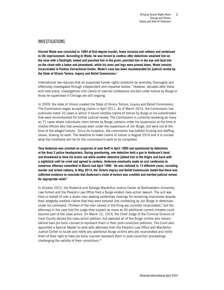### Investigations

**Vincent Wade was convicted in 1984 of first-degree murder, home invasion and robbery and sentenced to life imprisonment. According to Wade, he was forced to confess after detectives smashed him on the nose with a flashlight, kneed and punched him in the groin, punched him in the eye and beat him on the chest with a baton and phonebook, while his arms and legs were pinned down. Wade remains incarcerated in Pontiac Correctional Center. Wade's case has been recommended for judicial review by the State of Illinois Torture, Inquiry and Relief Commission.**<sup>6</sup>

International law requires that all suspected human rights violations be promptly, thoroughly and effectively investigated through independent and impartial bodies.<sup>7</sup> However, decades after these acts took place, investigations into claims of coerced confessions elicited under torture by Burge or those he supervised in Chicago are still ongoing.

In 2009, the state of Illinois created the State of Illinois Torture, Inquiry and Relief Commission. The Commission began accepting claims in April 2011. As of March 2014, the Commission has publically listed 16 cases in which it found credible claims of torture by Burge or his subordinates that were recommended for further judicial review. The Commission is currently reviewing as many as 71 cases where individuals claim torture by Burge, persons under his supervision at the time or involve officers who had previously been under the supervision of Jon Burge, but were not at the time of the alleged torture. Since its inception, the commission has battled funding and staffing issues, slowing its work. The deadline to make claims of torture is August 2014 and it is unclear what the timeframe will be for the commission's work to be completed.

**Tony Anderson was arrested on suspicion of auto theft in April 1990 and questioned by detectives at the Area 2 police headquarters. During questioning, one detective held a gun to Anderson's head and threatened to blow his brains out while another detective jabbed him in the thighs and back with a nightstick until he cried and agreed to confess. Anderson eventually made an oral confession to numerous offenses committed in March and April 1990. He was indicted in 13 different cases, including murder and armed robbery. In May 2013, the Torture Inquiry and Relief Commission stated that there was sufficient evidence to conclude that Anderson's claim of torture was credible and merited judicial review for appropriate relief.**<sup>8</sup>

In October 2012, the Roderick and Solange MacArthur Justice Center at Northwestern University Law School and the People's Law Office filed a Burge-related class action lawsuit. The suit was filed on behalf of over a dozen men seeking evidentiary hearings for remaining imprisoned despite their allegedly credible claims that they were tortured into confessing by Jon Burge or detectives under his command. Thirteen of the men named in the filing are currently incarcerated, $9$  but the attorneys in the case told the judge they suspect as many as 40 additional current inmates could become part of the class action. On March 12, 1014, the Chief Judge of the Criminal Division of Cook County denied the class action petition, but awarded all of the Burge victims who remain behind bars pro bono counsel to represent them in their post-conviction petitions. The Court also appointed a Special Master to work with attorneys from the People's Law Office and MacArthur Justice Center to locate and notify any additional Burge victims who are incarcerated and notify them of their right to have pro bono counsel represent them in post-conviction proceedings challenging the validity of their convictions.10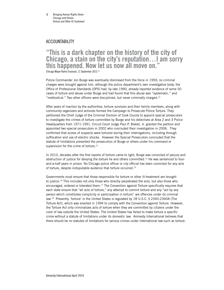## Accountability

# **"This is a dark chapter on the history of the city of Chicago, a stain on the city's reputation…I am sorry this happened. Now let us now all move on."**  Chicago Mayor Rahm Emanuel, 11 September 2013.<sup>11</sup>

Police Commander Jon Burge was eventually dismissed from the force in 1993; no criminal charges were brought against him, although the police department's own investigative body, the Office of Professional Standards (OPS) had, by late 1990, already reported evidence of some 50 cases of torture and abuse under Burge and had found that this abuse was "systematic," and "methodical." Two other officers were disciplined, but never criminally charged.<sup>12</sup>

After years of inaction by the authorities, torture survivors and their family members, along with community organizers and activists formed the Campaign to Prosecute Police Torture. They petitioned the Chief Judge of the Criminal Division of Cook County to appoint special prosecutors to investigate the crimes of torture committed by Burge and his detectives at Area 2 and 3 Police Headquarters from 1971-1991. Circuit Court Judge Paul P. Biebel, Jr. granted the petition and appointed two special prosecutors in 2002 who concluded their investigation in 2006. They confirmed that scores of suspects were tortured during their interrogations, including through suffocation and use of electric shocks. However the Special Prosecutors concluded that the statute of limitations prevented the prosecution of Burge or others under his command or supervision for the crime of torture.<sup>13</sup>

In 2010, decades after the first reports of torture came to light, Burge was convicted of perjury and obstruction of justice for denying the torture he and others committed.<sup>14</sup> He was sentenced to fourand-a-half years in prison. No Chicago police officer or city official has been convicted for any acts of torture, despite indisputable evidence that torture occurred.15

Governments must ensure that those responsible for torture or other ill-treatment are brought to justice.<sup>16</sup> This includes not only those who directly perpetrated the acts, but also those who encouraged, ordered or tolerated them.<sup>17</sup> The Convention against Torture specifically requires that each state ensure that "all acts of torture," any attempt to commit torture and any "act by any person which constitutes complicity or participation in torture" are offences under its criminal law.18 Presently, 'torture' in the United States is regulated by 18 U.S.C. § 2340-2340A (The Torture Act), which was enacted in 1994 to comply with the Convention against Torture. However, the Torture Act only criminalizes acts of torture when they are committed by citizens under the color of law outside the United States. The United States has failed to make torture a specific crime without a statute of limitations under its domestic law. Amnesty International believes that there should be no statutes of limitations for serious crimes under international law such as torture.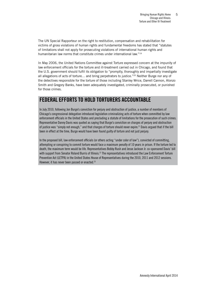The UN Special Rapporteur on the right to restitution, compensation and rehabilitation for victims of gross violations of human rights and fundamental freedoms has stated that "statutes of limitations shall not apply for prosecuting violations of international human rights and humanitarian law norms that constitute crimes under international law."<sup>19</sup>

In May 2006, the United Nations Committee against Torture expressed concern at the impunity of law enforcement officials for the torture and ill-treatment carried out in Chicago, and found that the U.S. government should fulfil its obligation to "promptly, thoroughly and impartially investigate all allegations of acts of torture... and bring perpetrators to justice."<sup>20</sup> Neither Burge nor any of the detectives responsible for the torture of those including Stanley Wrice, Darrell Cannon, Alonzo Smith and Gregory Banks, have been adequately investigated, criminally prosecuted, or punished for those crimes.

# **Federal efforts to hold torturers accountable**

In July 2010, following Jon Burge's conviction for perjury and obstruction of justice, a number of members of Chicago's congressional delegation introduced legislation criminalizing acts of torture when committed by law enforcement officials in the United States and precluding a statute of limitations for the prosecution of such crimes. Representative Danny Davis was quoted as saying that Burge's conviction on charges of perjury and obstruction of justice was "simply not enough," and that charges of torture should never expire.<sup>21</sup> Davis argued that if the bill been in effect at the time, Burge would have been found guilty of torture and not just perjury.

In the proposed bill, law enforcement officials (or others acting "under color of law"), convicted of committing, attempting or conspiring to commit torture would face a maximum penalty of 10 years in prison. If the torture led to death, the maximum term would be life. Representatives Bobby Rush and Jesse Jackson Jr. co-sponsored Davis' bill with support from Senator Roland Burris of Illinois.<sup>22</sup> The representatives introduced the Law Enforcement Torture Prevention Act (LETPA) in the United States House of Representatives during the 2010, 2011 and 2012 sessions. However, it has never been passed or enacted. $^{23}$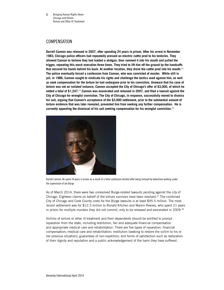Bringing Human Rights Home Chicago and Illinois: Torture and Other Ill-Treatment 6

## **COMPENSATION**

**Darrell Cannon was released in 2007, after spending 24 years in prison. After his arrest in November 1983, Chicago police officers had repeatedly pressed an electric cattle prod to his testicles. They allowed Cannon to believe they had loaded a shotgun, then rammed it into his mouth and pulled the trigger, repeating this mock execution three times. They tried to lift him off the ground by the handcuffs that secured his hands behind his back. At another location, they drove the cattle prod into his mouth.**<sup>24</sup> **The police eventually forced a confession from Cannon, who was convicted of murder. While still in jail, in 1986, Cannon sought to vindicate his rights and challenge the tactics used against him, as well as seek compensation for the torture he had undergone prior to his conviction. Unaware that his case of torture was not an isolated instance, Cannon accepted the City of Chicago's offer of \$3,000, of which he netted a total of \$1,247.**25 **Cannon was exonerated and released in 2007, and filed a lawsuit against the City of Chicago for wrongful conviction. The City of Chicago, in response, successfully moved to dismiss his suit, arguing that Cannon's acceptance of the \$3,000 settlement, prior to the substantial amount of torture evidence that was later revealed, prevented him from seeking any further compensation. He is currently appealing the dismissal of his suit seeking compensation for his wrongful conviction.**<sup>26</sup>



Darrell Cannon. He spent 24 years in prison as a result of a false confession elicited after being tortured by detectives working under the supervision of Jon Burge.

As of March 2014, there were two unresolved Burge-related lawsuits pending against the city of Chicago. Eighteen claims on behalf of the torture survivors have been resolved.<sup>27</sup> The combined City of Chicago and Cook County costs for the Burge lawsuits is at least \$95.5 million. The most recent settlement was for \$12.3 million to Ronald Kitchen and Marvin Reeves, who spent 21 years in prison for multiple murders they did not commit, only to be released and exonerated in 2009.<sup>28</sup>

Victims of torture or other ill-treatment and their dependents should be entitled to prompt reparation from the state, including restitution, fair and adequate financial compensation and appropriate medical care and rehabilitation. There are five types of reparation: financial compensation; medical care and rehabilitation; restitution (seeking to restore the victim to his or her previous situation); guarantees of non-repetition; and forms of satisfaction such as restoration of their dignity and reputation and a public acknowledgement of the harm they have suffered.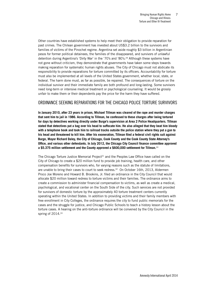Other countries have established systems to help meet their obligation to provide reparation for past crimes. The Chilean government has invested about US\$3.2 billion to the survivors and families of victims of the Pinochet regime. Argentina set aside roughly \$3 billion in Argentinian pesos for former political detainees, the families of the disappeared, and survivors of unlawful detention during Argentina's 'Dirty War' in the '70's and '80's.<sup>29</sup> Although these systems have not gone without criticism, they demonstrate that governments have taken some steps towards making reparation for systematic human rights abuses. The City of Chicago must not abdicate its responsibility to provide reparations for torture committed by its officers. Accountability for torture must also be implemented at all levels of the United States government, whether local, state, or federal. The harm done must, as far as possible, be repaired. The consequences of torture on the individual survivor and their immediate family are both profound and long-lasting. Some survivors need long-term or intensive medical treatment or psychological counseling. It would be grossly unfair to make them or their dependents pay the price for the harm they have suffered.

### Ordinance Seeking Reparations for the Chicago Police Torture Survivors

**In January 2010, after 23 years in prison, Michael Tillman was cleared of the rape and murder charges that sent him to jail in 1986. According to Tillman, he confessed to these charges after being tortured for days by detectives working directly under Burge's supervision at Area 2 Police Headquarters. Tillman stated that detectives put a bag over his head to suffocate him. He also alleged that they beat him bloody with a telephone book and took him to railroad tracks outside the police station where they put a gun to his head and threatened to kill him. After his exoneration, Tillman filed a federal civil rights suit against Burge, Mayor Richard Daley, the City of Chicago, Cook County and the Cook County State Attorney's Office, and various other defendants. In July 2012, the Chicago City Council finance committee approved a \$5.375 million settlement and the County approved a \$600,000 settlement for Tillman.**<sup>30</sup>

The Chicago Torture Justice Memorial Project<sup>31</sup> and the Peoples Law Office have called on the City of Chicago to create a \$20 million fund to provide job training, health care, and other compensation benefits for survivors who, for varying reasons such as the statute of limitations, are unable to bring their cases to court to seek redress.<sup>32</sup> On October 16th, 2013, Aldermen Proco Joe Moreno and Howard B. Brookins, Jr. filed an ordinance in the City Council that would allocate \$20 million toward redress to torture victims and their families. The ordinance aims to create a commission to administer financial compensation to victims, as well as create a medical, psychological, and vocational center on the South Side of the city. Such services are not provided for survivors of domestic torture by the approximately 40 torture treatment centers currently operating within the United States. In addition to providing victims and their family members with free enrollment in City Colleges, the ordinance requires the city to fund public memorials for the cases and the struggle for justice, and Chicago Public Schools to teach a history lesson about the torture cases. A hearing on the anti-torture ordinance will be convened by the City Council in the spring of 2014.<sup>33</sup>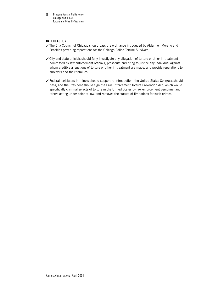Bringing Human Rights Home Chicago and Illinois: Torture and Other Ill-Treatment 8

#### **CALL TO ACTION:**

- ✓ The City Council of Chicago should pass the ordinance introduced by Aldermen Moreno and Brookins providing reparations for the Chicago Police Torture Survivors;
- ✓ City and state officials should fully investigate any allegation of torture or other ill-treatment committed by law enforcement officials, prosecute and bring to justice any individual against whom credible allegations of torture or other ill-treatment are made, and provide reparations to survivors and their families;
- ✓ Federal legislators in Illinois should support re-introduction, the United States Congress should pass, and the President should sign the Law Enforcement Torture Prevention Act, which would specifically criminalize acts of torture in the United States by law enforcement personnel and others acting under color of law, and removes the statute of limitations for such crimes.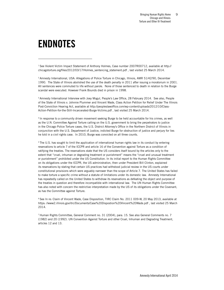# **Endnotes**

1 See Violent Victim Impact Statement of Anthony Holmes, Case number 2007R00712, available at http:// chicagotorture.org/files/2012/03/17/Holmes\_sentencing\_statement.pdf , last visited 25 March 2014.

2 Amnesty International, USA: Allegations of Police Torture in Chicago, Illinois, AMR 51/42/90, December 1990. The State of Illinois abolished the use of the death penalty in 2011 after issuing a moratorium in 2001. All sentences were commuted to life without parole. None of those sentenced to death in relation to the Burge scandal were executed. However Frank Bounds died in prison in 1998.

<sup>3</sup> Amnesty International Interview with Joey Mogul, People's Law Office, 28 February 2014. See also, People of the State of Illinois v. Johnnie Plummer and Vincent Wade, Class Action Petition for Relief Under The Illinois Post-Conviction Hearing Act, available at http://peopleslawoffice.com/wp-content/uploads/2012/10/Class-Action-Petition-for-the-Still-Incarcerated-Burge-Victims.pdf , last visited 25 March 2014.

4 In response to a community driven movement seeking Burge to be held accountable for his crimes, as well as the U.N. Committee Against Torture calling on the U.S. government to bring the perpetrators to justice in the Chicago Police Torture cases, the U.S. District Attorney's Office in the Northern District of Illinois in conjunction with the U.S. Department of Justice, indicted Burge for obstruction of justice and perjury for lies he told in a civil rights case. In 2010, Burge was convicted on all three counts.

<sup>5</sup> The U.S. has sought to limit the application of international human rights law in its conduct by entering reservations to article 7 of the ICCPR and article 16 of the Convention against Torture as a condition of ratifying the treaties. The reservations state that the US considers itself bound by the articles only to the extent that "cruel, inhuman or degrading treatment or punishment" means the "cruel and unusual treatment or punishment" prohibited under the US Constitution. In its initial report to the Human Rights Committee on its obligations under the ICCPR, the US administration, then under President Bill Clinton, explained its reservations by stating that certain US practices had withstood judicial review in the US courts under constitutional provisions which were arguably narrower than the scope of Article 7. The United States has failed to make torture a specific crime without a statute of limitations under its domestic law. Amnesty International has repeatedly called on the United States to withdraw its reservations as defeating the object and purpose of the treaties in question and therefore incompatible with international law. The UN Human Rights Committee has also noted with concern the restrictive interpretation made by the US of its obligations under the Covenant, as has the Committee against Torture.

<sup>6</sup> See In re: Claim of Vincent Wade, Case Disposition, TIRC Claim No. 2011 009-W, 20 May 2013, available at https: //www2.illinois.gov/itrc/Documents/Case%20Dispostion%20Vincent%20Wade.pdf , last visited 25 March 2014.

7 Human Rights Committee, General Comment no. 31 (2004), para. 15. See also General Comments no. 7 (1982) and 20 (1992). UN Convention Against Torture and other Cruel, Inhuman and Degrading Treatment, articles 12 and 13.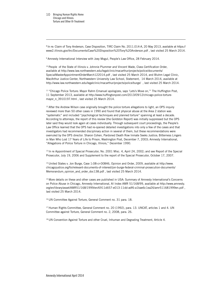8 In re: Claim of Tony Anderson, Case Disposition, TIRC Claim No. 2011.014-A, 20 May 2013, available at https:// www2.illinois.gov/itrc/Documents/Case%20Disposition%20Tony%20Anderson.pdf , last visited 25 March 2014.

9 Amnesty International Interview with Joey Mogul, People's Law Office, 28 February 2014.

<sup>10</sup> People of the State of Illinois v. Johnnie Plummer and Vincent Wade, Class Certification Order, available at http://www.law.northwestern.edu/legalclinic/macarthur/projects/police/documents/ SpecialMasterAppointmentOrderMarch122014.pdf , last visited 25 March 2014, and Bluhm Legal Clinic, MacArthur Justice Center, Northwestern University Law School, Statement, 14 March 2014, available at http://www.law.northwestern.edu/legalclinic/macarthur/projects/police/burge/ , last visited 25 March 2014.

<sup>11</sup> "Chicago Police Torture: Mayor Rahm Emanuel apologizes, says 'Lets's Move on," The Huffington Post, 11 September 2013, available at http://www.huffingtonpost.com/2013/09/12/chicago-police-torturemayor\_n\_3910197.html , last visited 25 March 2014.

 $12$  After the Andrew Wilson case originally brought the police torture allegations to light, an OPS inquiry reviewed more than 50 other cases in 1990 and found that physical abuse at the Area 2 station was "systematic" and included "psychological techniques and planned torture" spanning at least a decade. According to attorneys, the report of this review (the Goldston Report) was initially suppressed but the OPS later said they would look again at cases individually. Through subsequent court proceedings, the People's Law Office learned that the OPS had re-opened detailed investigations into only a few of the cases and that investigators had recommended disciplinary action in several of them, but these recommendations were overruled by the OPS director. Sharon Cohen, Pardoned Death Row Inmate Seeks Justice; Bitterness Lingers in Man Who Lost 17 Years of Life to Prison, Washington Post, December 7, 2003; Amnesty International, "Allegations of Police Torture in Chicago, Illinois," December 1990.

<sup>13</sup> In re Appointment of Special Prosecutor, No. 2001 Misc. 4, April 24, 2002; and see Report of the Special Prosecutor, July 19, 2006 and Supplement to the report of the Special Prosecutor, October 17, 2007.

<sup>14</sup> United States v. Jon Burge, Case 1:08-cr-00846, Opinion and Order, 2009, available at http://www. chicagojustice.org/foi/relevant-documents-of-interest/jon-burge-federal-criminal-prosecution-documents/ Memorandum\_opinion\_and\_order\_doc138.pdf , last visited 25 March 2014.

<sup>15</sup> More details on these and other cases are published in USA: Summary of Amnesty International's Concerns on Police Abuse in Chicago, Amnesty International, AI Index AMR 51/168/99, available at http://www.amnesty. org/en/library/asset/AMR51/168/1999/en/6911d657-e013-11dd-adf6-a1bae6c1ea26/amr511681999en.pdf , last visited 25 March 2014.

<sup>16</sup> UN Committee Against Torture, General Comment no. 31 para. 18.

17 Human Rights Committee, General Comment no. 20 (1992), para. 13. UNCAT, articles 1 and 4. UN Committee against Torture, General Comment no. 2, 2008, para. 26.

<sup>18</sup> UN Convention Against Torture and other Cruel, Inhuman and Degrading Treatment, Article 4.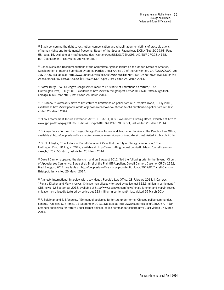<sup>19</sup> Study concerning the right to restitution, compensation and rehabilitation for victims of gross violations of human rights and fundamental freedoms, Report of the Special Rapporteur, E/CN.4/Sub.2/1993/8, Page 58, para. 15, available at http://daccess-dds-ny.un.org/doc/UNDOC/GEN/G93/141/58/PDF/G9314158. pdf?OpenElement , last visited 25 March 2014.

20 Conclusions and Recommendations of the Committee Against Torture on the United States of America, Consideration of reports Submitted by States Parties Under Article 19 of the Convention, CAT/C/USA//CO/2, 25 July 2006, available at http://www.unhchr.ch/tbs/doc.nsf/898586b1dc7b4043c1256a450044f331/e2d4f5b 2dccc0a4cc12571ee00290ce0/\$FILE/G0643225.pdf , last visited 25 March 2014.

<sup>21</sup> "After Burge Trial, Chicago's Congressmen move to lift statute of limitations on torture," The Hunffington Post, 1 July 2010, available at http://www.huffingtonpost.com/2010/07/01/after-burge-trialchicago\_n\_632792.html , last visited 25 March 2014.

22 P. Lozano, "Lawmakers move to lift statute of limitations on police torture," People's World, 6 July 2010, available at http://www.peoplesworld.org/lawmakers-move-to-lift-statute-of-limitations-on-police-torture/, last visited 25 March 2014.

<sup>23</sup> "Law Enforcement Torture Prevention Act," H.R. 3781, U.S. Government Printing Office, available at http:// www.gpo.gov/fdsys/pkg/BILLS-112hr3781ih/pdf/BILLS-112hr3781ih.pdf, last visited 25 March 2014.

<sup>24</sup> Chicago Police Torture: Jon Burge, Chicago Police Torture and Justice for Survivors, The People's Law Office, available at http://peopleslawoffice.com/issues-and-cases/chicago-police-torture/ , last visited 25 March 2014.

<sup>25</sup> G. Flint Taylor, "The Torture of Darrell Cannon: A Case that the City of Chicago cannot win," The Huffington Post, 10 August 2012, available at http://www.huffingtonpost.com/g-flint-taylor/darrell-cannoncase\_b\_1762150.html , last visited 25 March 2014.

<sup>26</sup> Darrell Cannon appealed the decision, and on 8 August 2012 filed the following brief in the Seventh Circuit of Appeals: see Cannon vs. Burge et al, Brief of the Plaintiff-Appellant Darrell Cannon, Case no. 05 CV 2192, filed 8 August 2012, available at http://peopleslawoffice.com/wp-content/uploads/2012/02/Darrell-Cannon-Brief.pdf, last visited 25 March 2014.

<sup>27</sup> Amnesty International Interview with Joey Mogul, People's Law Office, 28 February 2014. I. Carreras, "Ronald Kitchen and Marvin reeves, Chicago men allegedly tortured by police, get \$12.3 million in settlement," CBS news, 12 September 2013, available at http://www.cbsnews.com/news/ronald-kitchen-and-marvin-reeveschicago-men-allegedly-tortured-by-police-get-123-million-in-settlement/ , last visited 25 March 2014.

<sup>28</sup> F. Spielman and T. Sfondeles, "Emmanuel apologies for torture under former Chicago police commander, cohorts," Chicago Sun-Times, 11 September 2013, available at http://www.suntimes.com/22500577-418/ emanuel-apologizes-for-torture-under-former-chicago-police-commander-cohorts.html , last visited 25 March 2014.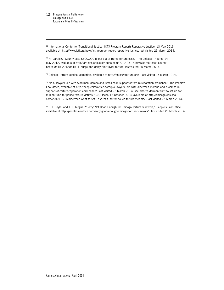29 International Center for Transitional Justice, ICTJ Program Report: Reparative Justice, 13 May 2013, available at http://www.ictj.org/news/ictj-program-report-reparative-justice, last visited 25 March 2014.

30 H. Dardick, "County pays \$600,000 to get out of Burge torture case," The Chicago Tribune, 14 May 2012, available at http://articles.chicagotribune.com/2012-05-14/news/ct-met-cook-countyboard-0515-20120515\_1\_burge-and-daley-flint-taylor-torture, last visited 25 March 2014.

31 Chicago Torture Justice Memorials, available at http://chicagotorture.org/, last visited 25 March 2014.

32 "PLO lawyers join with Aldermen Moreno and Brookins in support of torture reparation ordinance," The People's Law Office, available at http://peopleslawoffice.com/plo-lawyers-join-with-aldermen-moreno-and-brookins-insupport-of-torture-reparations-ordinance/, last visited 25 March 2014, see also "Aldermen want to set up \$20 million fund for police torture victims," CBS local, 16 October 2013, available at http://chicago.cbslocal. com/2013/10/16/aldermen-want-to-set-up-20m-fund-for-police-torture-victims/ , last visited 25 March 2014.

33 G. F. Taylor and J. L. Mogul, "'Sorry' Not Good Enough for Chicago Torture Survivors," People's Law Office, available at http://peopleslawoffice.com/sorry-good-enough-chicago-torture-survivors/ , last visited 25 March 2014.